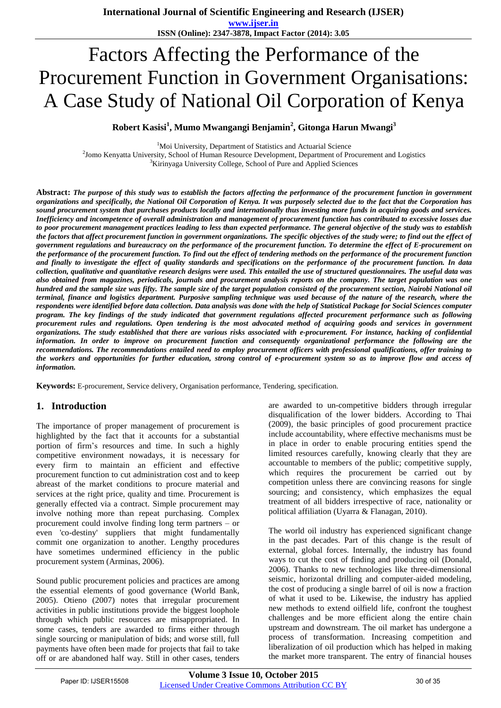**ISSN (Online): 2347-3878, Impact Factor (2014): 3.05**

# Factors Affecting the Performance of the Procurement Function in Government Organisations: A Case Study of National Oil Corporation of Kenya

**Robert Kasisi<sup>1</sup> , Mumo Mwangangi Benjamin<sup>2</sup> , Gitonga Harun Mwangi<sup>3</sup>**

<sup>1</sup>Moi University, Department of Statistics and Actuarial Science

2 Jomo Kenyatta University, School of Human Resource Development, Department of Procurement and Logistics <sup>3</sup>Kirinyaga University College, School of Pure and Applied Sciences

**Abstract:** *The purpose of this study was to establish the factors affecting the performance of the procurement function in government organizations and specifically, the National Oil Corporation of Kenya. It was purposely selected due to the fact that the Corporation has sound procurement system that purchases products locally and internationally thus investing more funds in acquiring goods and services. Inefficiency and incompetence of overall administration and management of procurement function has contributed to excessive losses due to poor procurement management practices leading to less than expected performance. The general objective of the study was to establish the factors that affect procurement function in government organizations. The specific objectives of the study were; to find out the effect of government regulations and bureaucracy on the performance of the procurement function. To determine the effect of E-procurement on the performance of the procurement function. To find out the effect of tendering methods on the performance of the procurement function and finally to investigate the effect of quality standards and specifications on the performance of the procurement function. In data collection, qualitative and quantitative research designs were used. This entailed the use of structured questionnaires. The useful data was also obtained from magazines, periodicals, journals and procurement analysis reports on the company. The target population was one hundred and the sample size was fifty. The sample size of the target population consisted of the procurement section, Nairobi National oil terminal, finance and logistics department. Purposive sampling technique was used because of the nature of the research, where the respondents were identified before data collection. Data analysis was done with the help of Statistical Package for Social Sciences computer program. The key findings of the study indicated that government regulations affected procurement performance such as following procurement rules and regulations. Open tendering is the most advocated method of acquiring goods and services in government organizations. The study established that there are various risks associated with e-procurement. For instance, hacking of confidential information. In order to improve on procurement function and consequently organizational performance the following are the recommendations. The recommendations entailed need to employ procurement officers with professional qualifications, offer training to the workers and opportunities for further education, strong control of e-procurement system so as to improve flow and access of information.* 

**Keywords:** E-procurement, Service delivery, Organisation performance, Tendering, specification.

# **1. Introduction**

The importance of proper management of procurement is highlighted by the fact that it accounts for a substantial portion of firm's resources and time. In such a highly competitive environment nowadays, it is necessary for every firm to maintain an efficient and effective procurement function to cut administration cost and to keep abreast of the market conditions to procure material and services at the right price, quality and time. Procurement is generally effected via a contract. Simple procurement may involve nothing more than repeat purchasing. Complex procurement could involve finding long term partners – or even 'co-destiny' suppliers that might fundamentally commit one organization to another. Lengthy procedures have sometimes undermined efficiency in the public procurement system (Arminas, 2006).

Sound public procurement policies and practices are among the essential elements of good governance (World Bank, 2005). Otieno (2007) notes that irregular procurement activities in public institutions provide the biggest loophole through which public resources are misappropriated. In some cases, tenders are awarded to firms either through single sourcing or manipulation of bids; and worse still, full payments have often been made for projects that fail to take off or are abandoned half way. Still in other cases, tenders

are awarded to un-competitive bidders through irregular disqualification of the lower bidders. According to Thai (2009), the basic principles of good procurement practice include accountability, where effective mechanisms must be in place in order to enable procuring entities spend the limited resources carefully, knowing clearly that they are accountable to members of the public; competitive supply, which requires the procurement be carried out by competition unless there are convincing reasons for single sourcing; and consistency, which emphasizes the equal treatment of all bidders irrespective of race, nationality or political affiliation (Uyarra & Flanagan, 2010).

The world oil industry has experienced significant change in the past decades. Part of this change is the result of external, global forces. Internally, the industry has found ways to cut the cost of finding and producing oil (Donald, 2006). Thanks to new technologies like three-dimensional seismic, horizontal drilling and computer-aided modeling, the cost of producing a single barrel of oil is now a fraction of what it used to be. Likewise, the industry has applied new methods to extend oilfield life, confront the toughest challenges and be more efficient along the entire chain upstream and downstream. The oil market has undergone a process of transformation. Increasing competition and liberalization of oil production which has helped in making the market more transparent. The entry of financial houses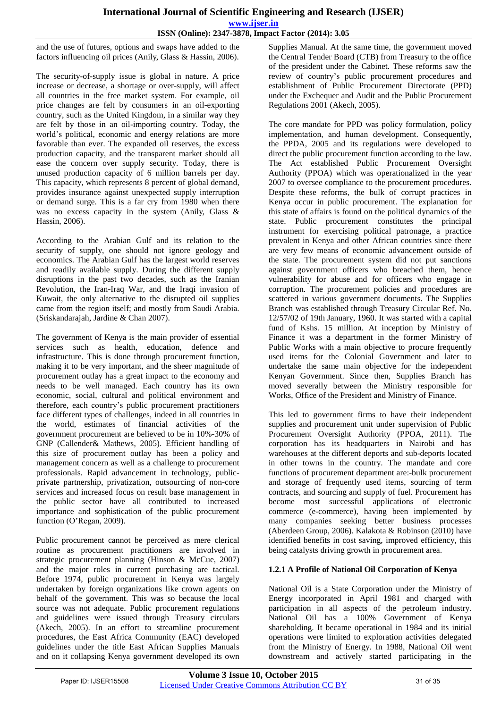and the use of futures, options and swaps have added to the factors influencing oil prices (Anily, Glass & Hassin, 2006).

The security-of-supply issue is global in nature. A price increase or decrease, a shortage or over-supply, will affect all countries in the free market system. For example, oil price changes are felt by consumers in an oil-exporting country, such as the United Kingdom, in a similar way they are felt by those in an oil-importing country. Today, the world's political, economic and energy relations are more favorable than ever. The expanded oil reserves, the excess production capacity, and the transparent market should all ease the concern over supply security. Today, there is unused production capacity of 6 million barrels per day. This capacity, which represents 8 percent of global demand, provides insurance against unexpected supply interruption or demand surge. This is a far cry from 1980 when there was no excess capacity in the system (Anily, Glass & Hassin, 2006).

According to the Arabian Gulf and its relation to the security of supply, one should not ignore geology and economics. The Arabian Gulf has the largest world reserves and readily available supply. During the different supply disruptions in the past two decades, such as the Iranian Revolution, the Iran-Iraq War, and the Iraqi invasion of Kuwait, the only alternative to the disrupted oil supplies came from the region itself; and mostly from Saudi Arabia. (Sriskandarajah, Jardine & Chan 2007).

The government of Kenya is the main provider of essential services such as health, education, defence and infrastructure. This is done through procurement function, making it to be very important, and the sheer magnitude of procurement outlay has a great impact to the economy and needs to be well managed. Each country has its own economic, social, cultural and political environment and therefore, each country's public procurement practitioners face different types of challenges, indeed in all countries in the world, estimates of financial activities of the government procurement are believed to be in 10%-30% of GNP (Callender& Mathews, 2005). Efficient handling of this size of procurement outlay has been a policy and management concern as well as a challenge to procurement professionals. Rapid advancement in technology, publicprivate partnership, privatization, outsourcing of non-core services and increased focus on result base management in the public sector have all contributed to increased importance and sophistication of the public procurement function (O'Regan, 2009).

Public procurement cannot be perceived as mere clerical routine as procurement practitioners are involved in strategic procurement planning (Hinson & McCue, 2007) and the major roles in current purchasing are tactical. Before 1974, public procurement in Kenya was largely undertaken by foreign organizations like crown agents on behalf of the government. This was so because the local source was not adequate. Public procurement regulations and guidelines were issued through Treasury circulars (Akech, 2005). In an effort to streamline procurement procedures, the East Africa Community (EAC) developed guidelines under the title East African Supplies Manuals and on it collapsing Kenya government developed its own

Supplies Manual. At the same time, the government moved the Central Tender Board (CTB) from Treasury to the office of the president under the Cabinet. These reforms saw the review of country's public procurement procedures and establishment of Public Procurement Directorate (PPD) under the Exchequer and Audit and the Public Procurement Regulations 2001 (Akech, 2005).

The core mandate for PPD was policy formulation, policy implementation, and human development. Consequently, the PPDA, 2005 and its regulations were developed to direct the public procurement function according to the law. The Act established Public Procurement Oversight Authority (PPOA) which was operationalized in the year 2007 to oversee compliance to the procurement procedures. Despite these reforms, the bulk of corrupt practices in Kenya occur in public procurement. The explanation for this state of affairs is found on the political dynamics of the state. Public procurement constitutes the principal instrument for exercising political patronage, a practice prevalent in Kenya and other African countries since there are very few means of economic advancement outside of the state. The procurement system did not put sanctions against government officers who breached them, hence vulnerability for abuse and for officers who engage in corruption. The procurement policies and procedures are scattered in various government documents. The Supplies Branch was established through Treasury Circular Ref. No. 12/57/02 of 19th January, 1960. It was started with a capital fund of Kshs. 15 million. At inception by Ministry of Finance it was a department in the former Ministry of Public Works with a main objective to procure frequently used items for the Colonial Government and later to undertake the same main objective for the independent Kenyan Government. Since then, Supplies Branch has moved severally between the Ministry responsible for Works, Office of the President and Ministry of Finance.

This led to government firms to have their independent supplies and procurement unit under supervision of Public Procurement Oversight Authority (PPOA, 2011). The corporation has its headquarters in Nairobi and has warehouses at the different deports and sub-deports located in other towns in the country. The mandate and core functions of procurement department are:-bulk procurement and storage of frequently used items, sourcing of term contracts, and sourcing and supply of fuel. Procurement has become most successful applications of electronic commerce (e-commerce), having been implemented by many companies seeking better business processes (Aberdeen Group, 2006). Kalakota & Robinson (2010) have identified benefits in cost saving, improved efficiency, this being catalysts driving growth in procurement area.

## **1.2.1 A Profile of National Oil Corporation of Kenya**

National Oil is a State Corporation under the Ministry of Energy incorporated in April 1981 and charged with participation in all aspects of the petroleum industry. National Oil has a 100% Government of Kenya shareholding. It became operational in 1984 and its initial operations were limited to exploration activities delegated from the Ministry of Energy. In 1988, National Oil went downstream and actively started participating in the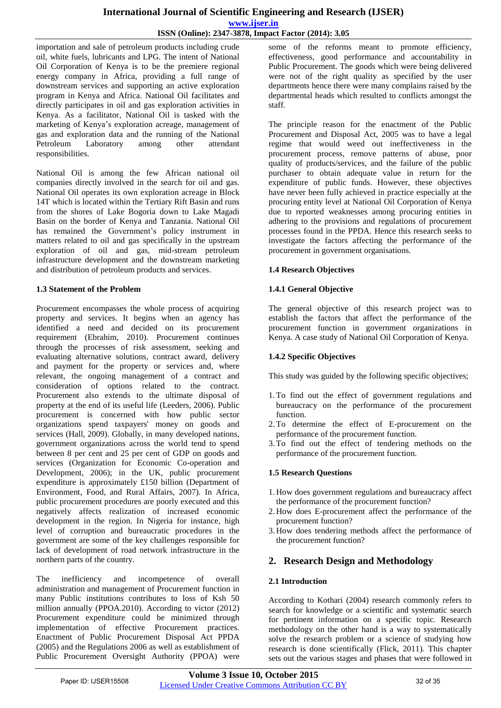importation and sale of petroleum products including crude oil, white fuels, lubricants and LPG. The intent of National Oil Corporation of Kenya is to be the premiere regional energy company in Africa, providing a full range of downstream services and supporting an active exploration program in Kenya and Africa. National Oil facilitates and directly participates in oil and gas exploration activities in Kenya. As a facilitator, National Oil is tasked with the marketing of Kenya's exploration acreage, management of gas and exploration data and the running of the National Petroleum Laboratory among other attendant responsibilities.

National Oil is among the few African national oil companies directly involved in the search for oil and gas. National Oil operates its own exploration acreage in Block 14T which is located within the Tertiary Rift Basin and runs from the shores of Lake Bogoria down to Lake Magadi Basin on the border of Kenya and Tanzania. National Oil has remained the Government's policy instrument in matters related to oil and gas specifically in the upstream exploration of oil and gas, mid-stream petroleum infrastructure development and the downstream marketing and distribution of petroleum products and services.

# **1.3 Statement of the Problem**

Procurement encompasses the whole process of acquiring property and services. It begins when an agency has identified a need and decided on its procurement requirement (Ebrahim, 2010). Procurement continues through the processes of risk assessment, seeking and evaluating alternative solutions, contract award, delivery and payment for the property or services and, where relevant, the ongoing management of a contract and consideration of options related to the contract. Procurement also extends to the ultimate disposal of property at the end of its useful life (Leeders, 2006). Public procurement is concerned with how public sector organizations spend taxpayers' money on goods and services (Hall, 2009). Globally, in many developed nations, government organizations across the world tend to spend between 8 per cent and 25 per cent of GDP on goods and services (Organization for Economic Co-operation and Development, 2006); in the UK, public procurement expenditure is approximately £150 billion (Department of Environment, Food, and Rural Affairs, 2007). In Africa, public procurement procedures are poorly executed and this negatively affects realization of increased economic development in the region. In Nigeria for instance, high level of corruption and bureaucratic procedures in the government are some of the key challenges responsible for lack of development of road network infrastructure in the northern parts of the country.

The inefficiency and incompetence of overall administration and management of Procurement function in many Public institutions contributes to loss of Ksh 50 million annually (PPOA.2010). According to victor (2012) Procurement expenditure could be minimized through implementation of effective Procurement practices. Enactment of Public Procurement Disposal Act PPDA (2005) and the Regulations 2006 as well as establishment of Public Procurement Oversight Authority (PPOA) were

some of the reforms meant to promote efficiency, effectiveness, good performance and accountability in Public Procurement. The goods which were being delivered were not of the right quality as specified by the user departments hence there were many complains raised by the departmental heads which resulted to conflicts amongst the staff.

The principle reason for the enactment of the Public Procurement and Disposal Act, 2005 was to have a legal regime that would weed out ineffectiveness in the procurement process, remove patterns of abuse, poor quality of products/services, and the failure of the public purchaser to obtain adequate value in return for the expenditure of public funds. However, these objectives have never been fully achieved in practice especially at the procuring entity level at National Oil Corporation of Kenya due to reported weaknesses among procuring entities in adhering to the provisions and regulations of procurement processes found in the PPDA. Hence this research seeks to investigate the factors affecting the performance of the procurement in government organisations.

# **1.4 Research Objectives**

# **1.4.1 General Objective**

The general objective of this research project was to establish the factors that affect the performance of the procurement function in government organizations in Kenya. A case study of National Oil Corporation of Kenya.

# **1.4.2 Specific Objectives**

This study was guided by the following specific objectives;

- 1.To find out the effect of government regulations and bureaucracy on the performance of the procurement function.
- 2.To determine the effect of E-procurement on the performance of the procurement function.
- 3.To find out the effect of tendering methods on the performance of the procurement function.

# **1.5 Research Questions**

- 1. How does government regulations and bureaucracy affect the performance of the procurement function?
- 2. How does E-procurement affect the performance of the procurement function?
- 3. How does tendering methods affect the performance of the procurement function?

# **2. Research Design and Methodology**

# **2.1 Introduction**

According to Kothari (2004) research commonly refers to search for knowledge or a scientific and systematic search for pertinent information on a specific topic. Research methodology on the other hand is a way to systematically solve the research problem or a science of studying how research is done scientifically (Flick, 2011). This chapter sets out the various stages and phases that were followed in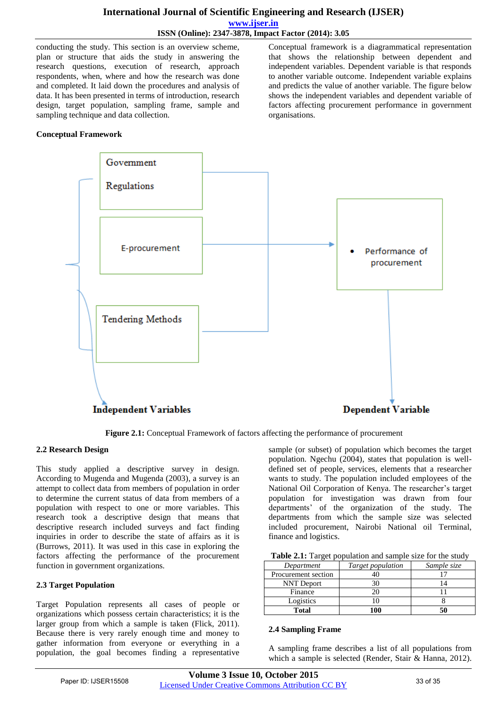# **International Journal of Scientific Engineering and Research (IJSER) www.ijser.in ISSN (Online): 2347-3878, Impact Factor (2014): 3.05**

conducting the study. This section is an overview scheme, plan or structure that aids the study in answering the research questions, execution of research, approach respondents, when, where and how the research was done and completed. It laid down the procedures and analysis of data. It has been presented in terms of introduction, research design, target population, sampling frame, sample and sampling technique and data collection.

Conceptual framework is a diagrammatical representation that shows the relationship between dependent and independent variables. Dependent variable is that responds to another variable outcome. Independent variable explains and predicts the value of another variable. The figure below shows the independent variables and dependent variable of factors affecting procurement performance in government organisations.

## **Conceptual Framework**



**Figure 2.1:** Conceptual Framework of factors affecting the performance of procurement

## **2.2 Research Design**

This study applied a descriptive survey in design. According to Mugenda and Mugenda (2003), a survey is an attempt to collect data from members of population in order to determine the current status of data from members of a population with respect to one or more variables. This research took a descriptive design that means that descriptive research included surveys and fact finding inquiries in order to describe the state of affairs as it is (Burrows, 2011). It was used in this case in exploring the factors affecting the performance of the procurement function in government organizations.

## **2.3 Target Population**

Target Population represents all cases of people or organizations which possess certain characteristics; it is the larger group from which a sample is taken (Flick, 2011). Because there is very rarely enough time and money to gather information from everyone or everything in a population, the goal becomes finding a representative

sample (or subset) of population which becomes the target population. Ngechu (2004), states that population is welldefined set of people, services, elements that a researcher wants to study. The population included employees of the National Oil Corporation of Kenya. The researcher's target population for investigation was drawn from four departments' of the organization of the study. The departments from which the sample size was selected included procurement, Nairobi National oil Terminal, finance and logistics.

| Table 2.1: Target population and sample size for the study |  |  |  |  |  |  |  |
|------------------------------------------------------------|--|--|--|--|--|--|--|
|------------------------------------------------------------|--|--|--|--|--|--|--|

| Department          | Target population | Sample size |
|---------------------|-------------------|-------------|
| Procurement section |                   |             |
| <b>NNT</b> Deport   |                   |             |
| Finance             |                   |             |
| Logistics           |                   |             |
| <b>Total</b>        | 100               |             |

#### **2.4 Sampling Frame**

A sampling frame describes a list of all populations from which a sample is selected (Render, Stair & Hanna, 2012).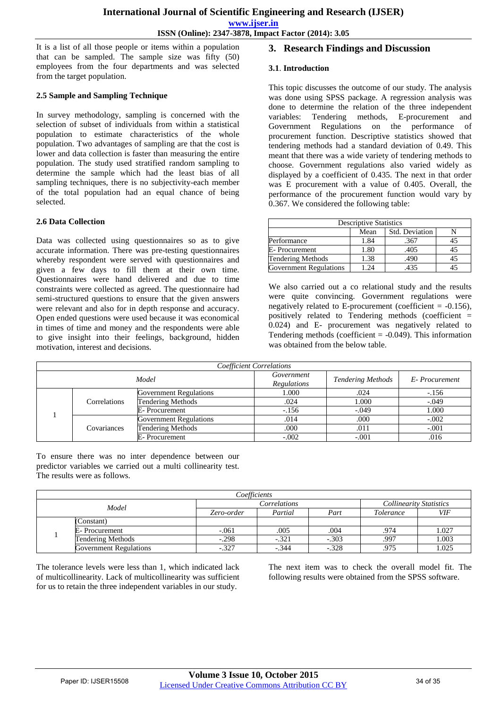**ISSN (Online): 2347-3878, Impact Factor (2014): 3.05**

It is a list of all those people or items within a population that can be sampled. The sample size was fifty (50) employees from the four departments and was selected from the target population.

## **2.5 Sample and Sampling Technique**

In survey methodology, sampling is concerned with the selection of subset of individuals from within a statistical population to estimate characteristics of the whole population. Two advantages of sampling are that the cost is lower and data collection is faster than measuring the entire population. The study used stratified random sampling to determine the sample which had the least bias of all sampling techniques, there is no subjectivity-each member of the total population had an equal chance of being selected.

## **2.6 Data Collection**

Data was collected using questionnaires so as to give accurate information. There was pre-testing questionnaires whereby respondent were served with questionnaires and given a few days to fill them at their own time. Questionnaires were hand delivered and due to time constraints were collected as agreed. The questionnaire had semi-structured questions to ensure that the given answers were relevant and also for in depth response and accuracy. Open ended questions were used because it was economical in times of time and money and the respondents were able to give insight into their feelings, background, hidden motivation, interest and decisions.

## **3. Research Findings and Discussion**

## **3.1**. **Introduction**

This topic discusses the outcome of our study. The analysis was done using SPSS package. A regression analysis was done to determine the relation of the three independent variables: Tendering methods, E-procurement and Government Regulations on the performance of procurement function. Descriptive statistics showed that tendering methods had a standard deviation of 0.49. This meant that there was a wide variety of tendering methods to choose. Government regulations also varied widely as displayed by a coefficient of 0.435. The next in that order was E procurement with a value of 0.405. Overall, the performance of the procurement function would vary by 0.367. We considered the following table:

| <b>Descriptive Statistics</b> |      |                |    |  |  |  |
|-------------------------------|------|----------------|----|--|--|--|
|                               | Mean | Std. Deviation |    |  |  |  |
| Performance                   | 1.84 | .367           | 45 |  |  |  |
| E-Procurement                 | 1.80 | .405           | 45 |  |  |  |
| <b>Tendering Methods</b>      | 1.38 | .490           | 45 |  |  |  |
| Government Regulations        | l 24 | 435            |    |  |  |  |

We also carried out a co relational study and the results were quite convincing. Government regulations were negatively related to E-procurement (coefficient = -0.156), positively related to Tendering methods (coefficient = 0.024) and E- procurement was negatively related to Tendering methods (coefficient  $= -0.049$ ). This information was obtained from the below table.

| Coefficient Correlations |              |                               |                          |               |         |  |  |
|--------------------------|--------------|-------------------------------|--------------------------|---------------|---------|--|--|
| Model                    |              | Government<br>Regulations     | <b>Tendering Methods</b> | E-Procurement |         |  |  |
|                          |              | <b>Government Regulations</b> | 1.000                    | .024          | $-.156$ |  |  |
|                          | Correlations | <b>Tendering Methods</b>      | .024                     | 1.000         | $-.049$ |  |  |
|                          |              | E-Procurement                 | $-.156$                  | $-.049$       | 1.000   |  |  |
|                          | Covariances  | <b>Government Regulations</b> | .014                     | .000          | $-.002$ |  |  |
|                          |              | Tendering Methods             | .000                     | .011          | $-.001$ |  |  |
|                          |              | E-Procurement                 | $-.002$                  | $-.001$       | .016    |  |  |

To ensure there was no inter dependence between our predictor variables we carried out a multi collinearity test. The results were as follows.

| Coefficients |                               |                                                   |              |         |      |                                |  |
|--------------|-------------------------------|---------------------------------------------------|--------------|---------|------|--------------------------------|--|
| Model        |                               |                                                   | Correlations |         |      | <b>Collinearity Statistics</b> |  |
|              |                               | Partial<br>Zero-order<br>Part<br><i>Tolerance</i> |              | VIF     |      |                                |  |
|              | (Constant)                    |                                                   |              |         |      |                                |  |
|              | E- Procurement                | $-.061$                                           | .005         | .004    | .974 | 1.027                          |  |
|              | Tendering Methods             | $-.298$                                           | $-.321$      | $-.303$ | .997 | 1.003                          |  |
|              | <b>Government Regulations</b> | $-.327$                                           | $-.344$      | $-.328$ | .975 | 1.025                          |  |

The tolerance levels were less than 1, which indicated lack of multicollinearity. Lack of multicollinearity was sufficient for us to retain the three independent variables in our study.

The next item was to check the overall model fit. The following results were obtained from the SPSS software.